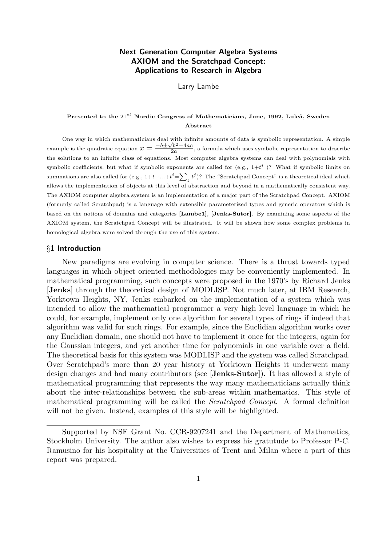# Next Generation Computer Algebra Systems AXIOM and the Scratchpad Concept: Applications to Research in Algebra

Larry Lambe

# Presented to the  $21^{st}$  Nordic Congress of Mathematicians, June, 1992, Luleå, Sweden Abstract

One way in which mathematicians deal with infinite amounts of data is symbolic representation. A simple example is the quadratic equation  $x = \frac{-b \pm \sqrt{b^2 - 4ac}}{2a}$  $\frac{2a}{2a}$ , a formula which uses symbolic representation to describe the solutions to an infinite class of equations. Most computer algebra systems can deal with polynomials with symbolic coefficients, but what if symbolic exponents are called for (e.g.,  $1+t^i$ )? What if symbolic limits on summations are also called for (e.g.,  $1+t+...+t^{i}=\sum_{j}t^{j}$ )? The "Scratchpad Concept" is a theoretical ideal which allows the implementation of objects at this level of abstraction and beyond in a mathematically consistent way. The AXIOM computer algebra system is an implementation of a major part of the Scratchpad Concept. AXIOM (formerly called Scratchpad) is a language with extensible parameterized types and generic operators which is based on the notions of domains and categories [Lambe1], [Jenks-Sutor]. By examining some aspects of the AXIOM system, the Scratchpad Concept will be illustrated. It will be shown how some complex problems in homological algebra were solved through the use of this system.

### §1 Introduction

New paradigms are evolving in computer science. There is a thrust towards typed languages in which object oriented methodologies may be conveniently implemented. In mathematical programming, such concepts were proposed in the 1970's by Richard Jenks [Jenks] through the theoretical design of MODLISP. Not much later, at IBM Research, Yorktown Heights, NY, Jenks embarked on the implementation of a system which was intended to allow the mathematical programmer a very high level language in which he could, for example, implement only one algorithm for several types of rings if indeed that algorithm was valid for such rings. For example, since the Euclidian algorithm works over any Euclidian domain, one should not have to implement it once for the integers, again for the Gaussian integers, and yet another time for polynomials in one variable over a field. The theoretical basis for this system was MODLISP and the system was called Scratchpad. Over Scratchpad's more than 20 year history at Yorktown Heights it underwent many design changes and had many contributors (see [Jenks-Sutor]). It has allowed a style of mathematical programming that represents the way many mathematicians actually think about the inter-relationships between the sub-areas within mathematics. This style of mathematical programming will be called the Scratchpad Concept. A formal definition will not be given. Instead, examples of this style will be highlighted.

Supported by NSF Grant No. CCR-9207241 and the Department of Mathematics, Stockholm University. The author also wishes to express his gratutude to Professor P-C. Ramusino for his hospitality at the Universities of Trent and Milan where a part of this report was prepared.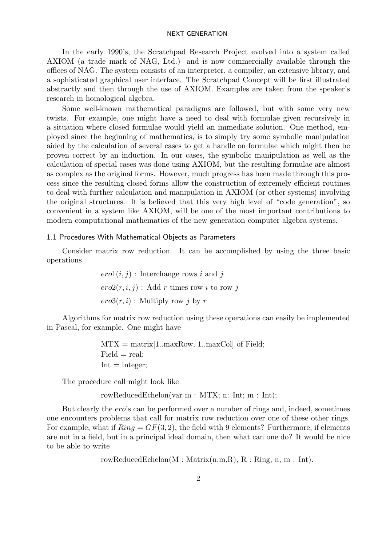In the early 1990's, the Scratchpad Research Project evolved into a system called AXIOM (a trade mark of NAG, Ltd.) and is now commercially available through the offices of NAG. The system consists of an interpreter, a compiler, an extensive library, and a sophisticated graphical user interface. The Scratchpad Concept will be first illustrated abstractly and then through the use of AXIOM. Examples are taken from the speaker's research in homological algebra.

Some well-known mathematical paradigms are followed, but with some very new twists. For example, one might have a need to deal with formulae given recursively in a situation where closed formulae would yield an immediate solution. One method, employed since the beginning of mathematics, is to simply try some symbolic manipulation aided by the calculation of several cases to get a handle on formulae which might then be proven correct by an induction. In our cases, the symbolic manipulation as well as the calculation of special cases was done using AXIOM, but the resulting formulae are almost as complex as the original forms. However, much progress has been made through this process since the resulting closed forms allow the construction of extremely efficient routines to deal with further calculation and manipulation in AXIOM (or other systems) involving the original structures. It is believed that this very high level of "code generation", so convenient in a system like AXIOM, will be one of the most important contributions to modern computational mathematics of the new generation computer algebra systems.

# 1.1 Procedures With Mathematical Objects as Parameters

Consider matrix row reduction. It can be accomplished by using the three basic operations

> $ero1(i, j)$ : Interchange rows i and j  $ero2(r, i, j)$ : Add r times row i to row j  $ero3(r, i)$ : Multiply row j by r

Algorithms for matrix row reduction using these operations can easily be implemented in Pascal, for example. One might have

> $MTX = matrix[1 .. maxRow, 1 .. maxCol]$  of Field;  $Field = real$ :  $Int = integer;$

The procedure call might look like

rowReducedEchelon(var m : MTX; n: Int; m : Int);

But clearly the ero's can be performed over a number of rings and, indeed, sometimes one encounters problems that call for matrix row reduction over one of these other rings. For example, what if  $Ring = GF(3, 2)$ , the field with 9 elements? Furthermore, if elements are not in a field, but in a principal ideal domain, then what can one do? It would be nice to be able to write

rowReducedEchelon(M : Matrix(n,m,R), R : Ring, n, m : Int).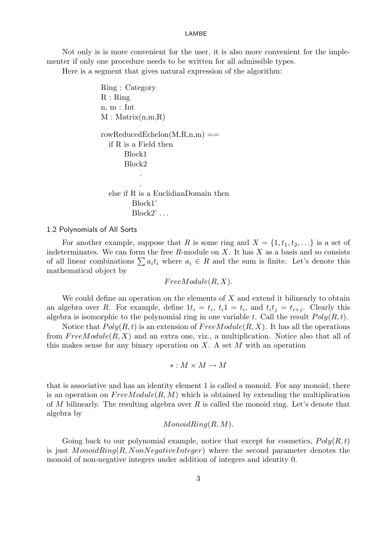Not only is is more convenient for the user, it is also more convenient for the implementer if only one procedure needs to be written for all admissible types.

Here is a segment that gives natural expression of the algorithm:

```
Ring : Category
R : Ringn, m : Int
M : Matrix(n,m,R)rowReducedEchelon(M, R, n, m) ==
  if R is a Field then
      Block1
      Block2
           .
           .
  else if R is a EuclidianDomain then
         Block1'
         Block2'...
```
#### 1.2 Polynomials of All Sorts

For another example, suppose that R is some ring and  $X = \{1, t_1, t_2, \ldots\}$  is a set of indeterminates. We can form the free  $R$ -module on  $X$ . It has  $X$  as a basis and so consists of all linear combinations  $\sum a_i t_i$  where  $a_i \in R$  and the sum is finite. Let's denote this mathematical object by

 $FreeModule(R, X).$ 

We could define an operation on the elements of  $X$  and extend it bilinearly to obtain an algebra over R. For example, define  $1t_i = t_i$ ,  $t_i 1 = t_i$ , and  $t_i t_j = t_{i+j}$ . Clearly this algebra is isomorphic to the polynomial ring in one variable t. Call the result  $Poly(R, t)$ .

Notice that  $Poly(R, t)$  is an extension of  $FreeModule(R, X)$ . It has all the operations from  $FreeModule(R, X)$  and an extra one, viz., a multiplication. Notice also that all of this makes sense for any binary operation on  $X$ . A set  $M$  with an operation

$$
*: M \times M \to M
$$

that is associative and has an identity element 1 is called a monoid. For any monoid, there is an operation on  $FreeModule(R, M)$  which is obtained by extending the multiplication of M bilinearly. The resulting algebra over R is called the monoid ring. Let's denote that algebra by

# $MonoidRing(R, M).$

Going back to our polynomial example, notice that except for cosmetics,  $Poly(R, t)$ is just  $MonoidRing(R, NonNegativeInteger)$  where the second parameter denotes the monoid of non-negative integers under addition of integers and identity 0.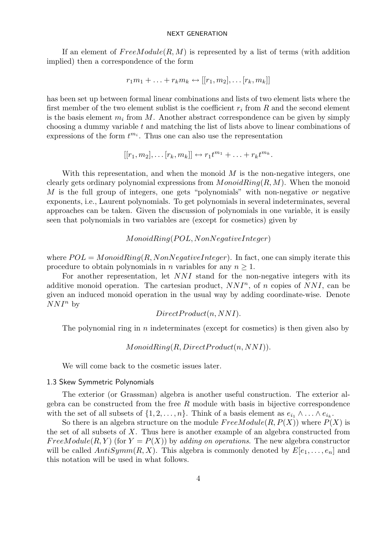If an element of  $FreeModule(R, M)$  is represented by a list of terms (with addition implied) then a correspondence of the form

$$
r_1m_1 + \ldots + r_km_k \leftrightarrow [[r_1, m_2], \ldots [r_k, m_k]]
$$

has been set up between formal linear combinations and lists of two element lists where the first member of the two element sublist is the coefficient  $r_i$  from  $R$  and the second element is the basis element  $m_i$  from M. Another abstract correspondence can be given by simply choosing a dummy variable t and matching the list of lists above to linear combinations of expressions of the form  $t^{m_i}$ . Thus one can also use the representation

$$
[[r_1,m_2],\ldots[r_k,m_k]] \leftrightarrow r_1t^{m_1}+\ldots+r_kt^{m_k}.
$$

With this representation, and when the monoid  $M$  is the non-negative integers, one clearly gets ordinary polynomial expressions from  $MonoidRing(R, M)$ . When the monoid M is the full group of integers, one gets "polynomials" with non-negative or negative exponents, i.e., Laurent polynomials. To get polynomials in several indeterminates, several approaches can be taken. Given the discussion of polynomials in one variable, it is easily seen that polynomials in two variables are (except for cosmetics) given by

# $MonoidRing (POL, NonNegativeInteger)$

where  $POL = MonoidRing(R, NonNegativeInteger)$ . In fact, one can simply iterate this procedure to obtain polynomials in *n* variables for any  $n \geq 1$ .

For another representation, let  $NNI$  stand for the non-negative integers with its additive monoid operation. The cartesian product,  $NNI^n$ , of n copies of  $NNI$ , can be given an induced monoid operation in the usual way by adding coordinate-wise. Denote  $NNI^n$  by

DirectP roduct(n, NN I).

The polynomial ring in  $n$  indeterminates (except for cosmetics) is then given also by

# $MonoidRing(R, Direct Product(n, NNI)).$

We will come back to the cosmetic issues later.

### 1.3 Skew Symmetric Polynomials

The exterior (or Grassman) algebra is another useful construction. The exterior algebra can be constructed from the free  $R$  module with basis in bijective correspondence with the set of all subsets of  $\{1, 2, \ldots, n\}$ . Think of a basis element as  $e_{i_1} \wedge \ldots \wedge e_{i_k}$ .

So there is an algebra structure on the module  $FreeModule(R, P(X))$  where  $P(X)$  is the set of all subsets of  $X$ . Thus here is another example of an algebra constructed from FreeModule(R, Y) (for  $Y = P(X)$ ) by adding on operations. The new algebra constructor will be called  $AntiSymm(R, X)$ . This algebra is commonly denoted by  $E[e_1, \ldots, e_n]$  and this notation will be used in what follows.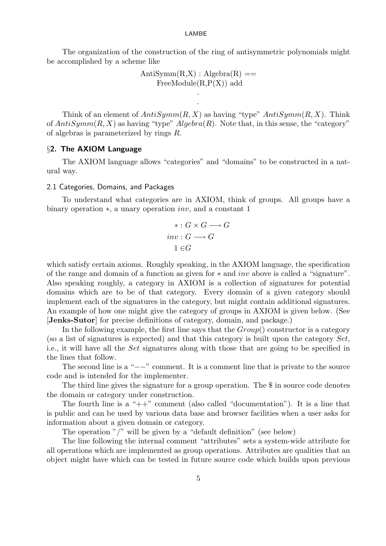The organization of the construction of the ring of antisymmetric polynomials might be accomplished by a scheme like

$$
AntiSymm(R,X): Algebra(R) ==
$$
  
FreeModule(R,P(X)) add

.

Think of an element of  $AntiSymm(R, X)$  as having "type"  $AntiSymm(R, X)$ . Think of  $AntiSymm(R, X)$  as having "type"  $Algebra(R)$ . Note that, in this sense, the "category" of algebras is parameterized by rings R.

# §2. The AXIOM Language

The AXIOM language allows "categories" and "domains" to be constructed in a natural way.

#### 2.1 Categories, Domains, and Packages

To understand what categories are in AXIOM, think of groups. All groups have a binary operation ∗, a unary operation inv, and a constant 1

$$
\ast: G \times G \longrightarrow G
$$
  
inv:  $G \longrightarrow G$   

$$
1 \in G
$$

which satisfy certain axioms. Roughly speaking, in the AXIOM language, the specification of the range and domain of a function as given for ∗ and inv above is called a "signature". Also speaking roughly, a category in AXIOM is a collection of signatures for potential domains which are to be of that category. Every domain of a given category should implement each of the signatures in the category, but might contain additional signatures. An example of how one might give the category of groups in AXIOM is given below. (See [Jenks-Sutor] for precise definitions of category, domain, and package.)

In the following example, the first line says that the  $Group()$  constructor is a category (so a list of signatures is expected) and that this category is built upon the category  $Set$ , i.e., it will have all the Set signatures along with those that are going to be specified in the lines that follow.

The second line is a " $-$ " comment. It is a comment line that is private to the source code and is intended for the implementer.

The third line gives the signature for a group operation. The \$ in source code denotes the domain or category under construction.

The fourth line is a " $++$ " comment (also called "documentation"). It is a line that is public and can be used by various data base and browser facilities when a user asks for information about a given domain or category.

The operation "/" will be given by a "default definition" (see below)

The line following the internal comment "attributes" sets a system-wide attribute for all operations which are implemented as group operations. Attributes are qualities that an object might have which can be tested in future source code which builds upon previous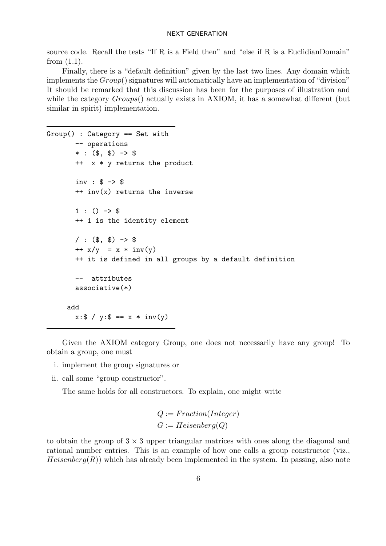source code. Recall the tests "If R is a Field then" and "else if R is a EuclidianDomain" from  $(1.1)$ .

Finally, there is a "default definition" given by the last two lines. Any domain which implements the  $Group()$  signatures will automatically have an implementation of "division" It should be remarked that this discussion has been for the purposes of illustration and while the category  $Groups()$  actually exists in AXIOM, it has a somewhat different (but similar in spirit) implementation.

```
Group() : Category == Set with
       -- operations
       * : (\$, \$) -> \$++ x * y returns the product
       inv : $ -> $
       ++ inv(x) returns the inverse
       1:() \rightarrow $++ 1 is the identity element
       / : ($, $) -> $
       ++ x/y = x * inv(y)++ it is defined in all groups by a default definition
       -- attributes
       associative(*)
     add
       x: $ / y: $ == x * inv(y)
```
Given the AXIOM category Group, one does not necessarily have any group! To obtain a group, one must

- i. implement the group signatures or
- ii. call some "group constructor".

The same holds for all constructors. To explain, one might write

$$
Q := Fraction(Integer)
$$
  

$$
G := Heisenberg(Q)
$$

to obtain the group of  $3 \times 3$  upper triangular matrices with ones along the diagonal and rational number entries. This is an example of how one calls a group constructor (viz.,  $Heisenberg(R)$ ) which has already been implemented in the system. In passing, also note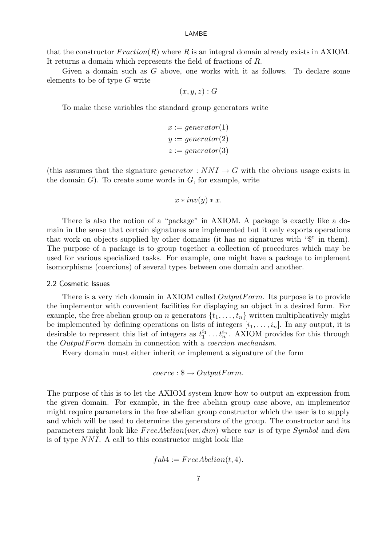that the constructor  $Fraction(R)$  where R is an integral domain already exists in AXIOM. It returns a domain which represents the field of fractions of R.

Given a domain such as  $G$  above, one works with it as follows. To declare some elements to be of type  $G$  write

$$
(x,y,z):G
$$

To make these variables the standard group generators write

$$
x := generator(1)
$$
  

$$
y := generator(2)
$$
  

$$
z := generator(3)
$$

(this assumes that the signature *generator* :  $NNI \rightarrow G$  with the obvious usage exists in the domain  $G$ ). To create some words in  $G$ , for example, write

$$
x * inv(y) * x.
$$

There is also the notion of a "package" in AXIOM. A package is exactly like a domain in the sense that certain signatures are implemented but it only exports operations that work on objects supplied by other domains (it has no signatures with "\$" in them). The purpose of a package is to group together a collection of procedures which may be used for various specialized tasks. For example, one might have a package to implement isomorphisms (coercions) of several types between one domain and another.

#### 2.2 Cosmetic Issues

There is a very rich domain in AXIOM called  $OutputForm$ . Its purpose is to provide the implementor with convenient facilities for displaying an object in a desired form. For example, the free abelian group on n generators  $\{t_1, \ldots, t_n\}$  written multiplicatively might be implemented by defining operations on lists of integers  $[i_1, \ldots, i_n]$ . In any output, it is desirable to represent this list of integers as  $t_1^{i_1} \ldots t_n^{i_n}$ . AXIOM provides for this through the *OutputForm* domain in connection with a *coercion mechanism*.

Every domain must either inherit or implement a signature of the form

$$
coerce: \$ \rightarrow OutputForm.
$$

The purpose of this is to let the AXIOM system know how to output an expression from the given domain. For example, in the free abelian group case above, an implementor might require parameters in the free abelian group constructor which the user is to supply and which will be used to determine the generators of the group. The constructor and its parameters might look like  $FreeAbelian(var, dim)$  where var is of type Symbol and dim is of type  $NNI$ . A call to this constructor might look like

$$
fab4 := FreeAbelian(t, 4).
$$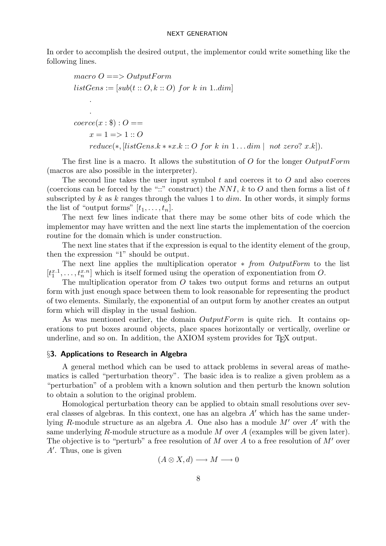In order to accomplish the desired output, the implementor could write something like the following lines.

```
macro Q \equiv 0utputForm
listGens := [sub(t :: O, k :: O) for k in 1..dim].
    .
coerce(x: $): O ==x = 1 \Rightarrow 1 :: 0reduce(*, [listGens.k***x.k::O for k in 1...dim | not zero? x.k]).
```
The first line is a macro. It allows the substitution of O for the longer  $OutputForm$ (macros are also possible in the interpreter).

The second line takes the user input symbol  $t$  and coerces it to  $O$  and also coerces (coercions can be forced by the "::" construct) the  $NNI$ , k to O and then forms a list of t subscripted by k as k ranges through the values 1 to  $dim$ . In other words, it simply forms the list of "output forms"  $[t_1, \ldots, t_n]$ .

The next few lines indicate that there may be some other bits of code which the implementor may have written and the next line starts the implementation of the coercion routine for the domain which is under construction.

The next line states that if the expression is equal to the identity element of the group, then the expression "1" should be output.

The next line applies the multiplication operator ∗ from OutputForm to the list  $[t_1^{x,1},..., t_n^{x,n}]$  which is itself formed using the operation of exponentiation from O.

The multiplication operator from O takes two output forms and returns an output form with just enough space between them to look reasonable for representing the product of two elements. Similarly, the exponential of an output form by another creates an output form which will display in the usual fashion.

As was mentioned earlier, the domain  $OutputForm$  is quite rich. It contains operations to put boxes around objects, place spaces horizontally or vertically, overline or underline, and so on. In addition, the AXIOM system provides for T<sub>F</sub>X output.

### §3. Applications to Research in Algebra

A general method which can be used to attack problems in several areas of mathematics is called "perturbation theory". The basic idea is to realize a given problem as a "perturbation" of a problem with a known solution and then perturb the known solution to obtain a solution to the original problem.

Homological perturbation theory can be applied to obtain small resolutions over several classes of algebras. In this context, one has an algebra  $A'$  which has the same underlying R-module structure as an algebra A. One also has a module  $M'$  over A' with the same underlying R-module structure as a module M over  $A$  (examples will be given later). The objective is to "perturb" a free resolution of M over A to a free resolution of M' over  $A'$ . Thus, one is given

 $(A \otimes X, d) \longrightarrow M \longrightarrow 0$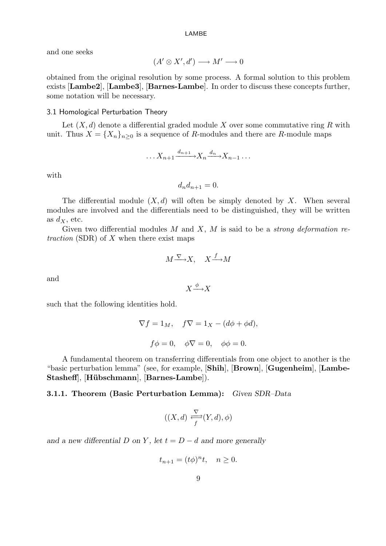and one seeks

$$
(A' \otimes X', d') \longrightarrow M' \longrightarrow 0
$$

obtained from the original resolution by some process. A formal solution to this problem exists [Lambe2], [Lambe3], [Barnes-Lambe]. In order to discuss these concepts further, some notation will be necessary.

#### 3.1 Homological Perturbation Theory

Let  $(X, d)$  denote a differential graded module X over some commutative ring R with unit. Thus  $X = \{X_n\}_{n\geq 0}$  is a sequence of R-modules and there are R-module maps

$$
\ldots X_{n+1} \xrightarrow{d_{n+1}} X_n \xrightarrow{d_n} X_{n-1} \ldots
$$

with

 $d_n d_{n+1} = 0.$ 

The differential module  $(X, d)$  will often be simply denoted by X. When several modules are involved and the differentials need to be distinguished, they will be written as  $d_X$ , etc.

Given two differential modules  $M$  and  $X$ ,  $M$  is said to be a *strong deformation re*traction (SDR) of  $X$  when there exist maps

$$
M \xrightarrow{\nabla} X, \quad X \xrightarrow{f} M
$$

and

$$
X \xrightarrow{\phi} X
$$

such that the following identities hold.

$$
\nabla f = 1_M, \quad f\nabla = 1_X - (d\phi + \phi d),
$$

$$
f\phi = 0, \quad \phi\nabla = 0, \quad \phi\phi = 0.
$$

A fundamental theorem on transferring differentials from one object to another is the "basic perturbation lemma" (see, for example, [Shih], [Brown], [Gugenheim], [Lambe-Stasheff], [Hübschmann], [Barnes-Lambe]).

### 3.1.1. Theorem (Basic Perturbation Lemma): Given SDR–Data

$$
((X,d) \xrightarrow{ \nabla \ } (Y,d), \phi)
$$

and a new differential D on Y, let  $t = D - d$  and more generally

$$
t_{n+1} = (t\phi)^n t, \quad n \ge 0.
$$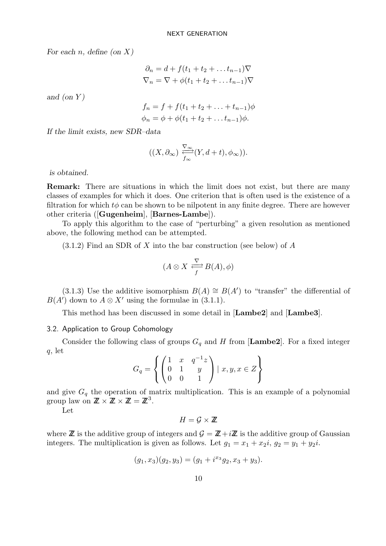For each *n*, define (on  $X$ )

$$
\partial_n = d + f(t_1 + t_2 + \dots + t_{n-1})\nabla
$$
  

$$
\nabla_n = \nabla + \phi(t_1 + t_2 + \dots + t_{n-1})\nabla
$$

and (on  $Y$ )

$$
f_n = f + f(t_1 + t_2 + \dots + t_{n-1})\phi
$$
  

$$
\phi_n = \phi + \phi(t_1 + t_2 + \dots + t_{n-1})\phi.
$$

If the limit exists, new SDR–data

$$
((X,\partial_{\infty})\,\frac{\nabla_{\infty}}{f_{\infty}}(Y,d+t),\phi_{\infty})).
$$

is obtained.

Remark: There are situations in which the limit does not exist, but there are many classes of examples for which it does. One criterion that is often used is the existence of a filtration for which  $t\phi$  can be shown to be nilpotent in any finite degree. There are however other criteria ([Gugenheim], [Barnes-Lambe]).

To apply this algorithm to the case of "perturbing" a given resolution as mentioned above, the following method can be attempted.

 $(3.1.2)$  Find an SDR of X into the bar construction (see below) of A

$$
(A \otimes X \xrightarrow{ \nabla \ } B(A), \phi)
$$

(3.1.3) Use the additive isomorphism  $B(A) \cong B(A')$  to "transfer" the differential of  $B(A)$  down to  $A \otimes X'$  using the formulae in (3.1.1).

This method has been discussed in some detail in [Lambe2] and [Lambe3].

### 3.2. Application to Group Cohomology

Consider the following class of groups  $G_q$  and H from [Lambe2]. For a fixed integer q, let

$$
G_q = \left\{ \begin{pmatrix} 1 & x & q^{-1}z \\ 0 & 1 & y \\ 0 & 0 & 1 \end{pmatrix} \mid x, y, x \in Z \right\}
$$

and give  $G_q$  the operation of matrix multiplication. This is an example of a polynomial group law on  $\mathbb{Z} \times \mathbb{Z} \times \mathbb{Z} = \mathbb{Z}^3$ .

Let

$$
H=\mathcal{G}\times\mathbb{Z}
$$

where  $\mathbb Z$  is the additive group of integers and  $\mathcal G = \mathbb Z + i\mathbb Z$  is the additive group of Gaussian integers. The multiplication is given as follows. Let  $g_1 = x_1 + x_2i$ ,  $g_2 = y_1 + y_2i$ .

$$
(g_1, x_3)(g_2, y_3) = (g_1 + i^{x_3}g_2, x_3 + y_3).
$$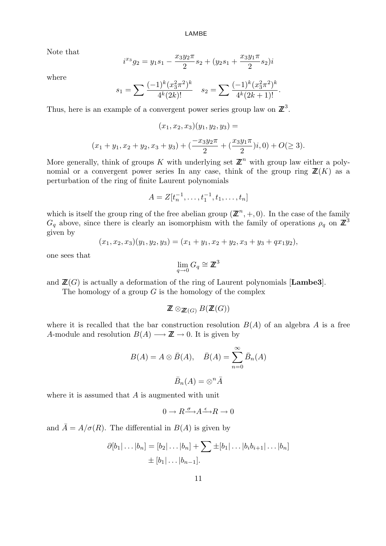Note that

$$
i^{x_3}g_2 = y_1s_1 - \frac{x_3y_2\pi}{2}s_2 + (y_2s_1 + \frac{x_3y_1\pi}{2}s_2)i
$$

where

$$
s_1 = \sum \frac{(-1)^k (x_3^2 \pi^2)^k}{4^k (2k)!} \quad s_2 = \sum \frac{(-1)^k (x_3^2 \pi^2)^k}{4^k (2k+1)!}.
$$

Thus, here is an example of a convergent power series group law on  $\mathbb{Z}^3$ .

$$
(x_1, x_2, x_3)(y_1, y_2, y_3) =
$$
  

$$
(x_1 + y_1, x_2 + y_2, x_3 + y_3) + (\frac{-x_3y_2\pi}{2} + (\frac{x_3y_1\pi}{2})i, 0) + O(\ge 3).
$$

More generally, think of groups K with underlying set  $\mathbb{Z}^n$  with group law either a polynomial or a convergent power series In any case, think of the group ring  $\mathbb{Z}(K)$  as a perturbation of the ring of finite Laurent polynomials

$$
A = Z[t_n^{-1}, \dots, t_1^{-1}, t_1, \dots, t_n]
$$

which is itself the group ring of the free abelian group  $(\mathbb{Z}^n, +, 0)$ . In the case of the family  $G_q$  above, since there is clearly an isomorphism with the family of operations  $\rho_q$  on  $\mathbb{Z}^3$ given by

$$
(x_1, x_2, x_3)(y_1, y_2, y_3) = (x_1 + y_1, x_2 + y_2, x_3 + y_3 + qx_1y_2),
$$

one sees that

$$
\lim_{q \to 0} G_q \cong \mathbb{Z}^3
$$

and  $\mathbb{Z}(G)$  is actually a deformation of the ring of Laurent polynomials [Lambe3].

The homology of a group  $G$  is the homology of the complex

 $\mathbb{Z} \otimes_{\mathbb{Z}/G} B(\mathbb{Z}(G))$ 

where it is recalled that the bar construction resolution  $B(A)$  of an algebra A is a free A-module and resolution  $B(A) \longrightarrow \mathbb{Z} \to 0$ . It is given by

$$
B(A) = A \otimes \overline{B}(A), \quad \overline{B}(A) = \sum_{n=0}^{\infty} \overline{B}_n(A)
$$

$$
\overline{B}_n(A) = \otimes^n \overline{A}
$$

where it is assumed that  $A$  is augmented with unit

$$
0\longrightarrow R {\overset{\sigma}{\longrightarrow}} A {\overset{\epsilon}{\longrightarrow}} R\longrightarrow 0
$$

and  $\overline{A} = A/\sigma(R)$ . The differential in  $B(A)$  is given by

$$
\partial [b_1|\dots|b_n] = [b_2|\dots|b_n] + \sum \pm [b_1|\dots|b_ib_{i+1}|\dots|b_n]
$$
  

$$
\pm [b_1|\dots|b_{n-1}].
$$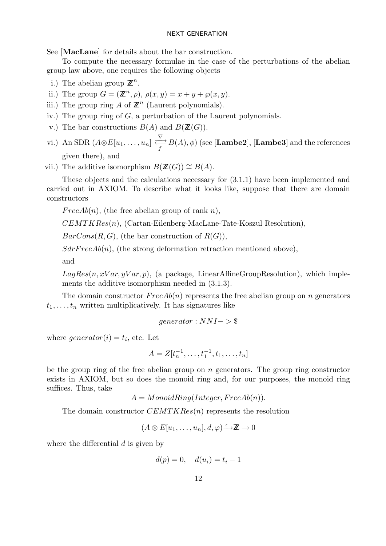See [MacLane] for details about the bar construction.

To compute the necessary formulae in the case of the perturbations of the abelian group law above, one requires the following objects

- i.) The abelian group  $\mathbb{Z}^n$ .
- ii.) The group  $G = (\mathbb{Z}^n, \rho), \rho(x, y) = x + y + \wp(x, y)$ .
- iii.) The group ring A of  $\mathbb{Z}^n$  (Laurent polynomials).
- iv.) The group ring of  $G$ , a perturbation of the Laurent polynomials.
- v.) The bar constructions  $B(A)$  and  $B(\mathbb{Z}(G))$ .
- vi.) An SDR  $(A \otimes E[u_1, \ldots, u_n] \stackrel{\nabla}{\longleftrightarrow}$  $\rightleftarrows{B(A),\phi}$  (see [**Lambe2**], [**Lambe3**] and the references given there), and

vii.) The additive isomorphism  $B(\mathbb{Z}(G)) \cong B(A)$ .

These objects and the calculations necessary for (3.1.1) have been implemented and carried out in AXIOM. To describe what it looks like, suppose that there are domain constructors

FreeAb(n), (the free abelian group of rank n),

 $CEMTKRes(n)$ , (Cartan-Eilenberg-MacLane-Tate-Koszul Resolution),

 $BarCons(R, G)$ , (the bar construction of  $R(G)$ ),

 $SdrFreeAb(n)$ , (the strong deformation retraction mentioned above),

and

 $LagRes(n, xVar, yVar, p)$ , (a package, LinearAffineGroupResolution), which implements the additive isomorphism needed in (3.1.3).

The domain constructor  $FreeAb(n)$  represents the free abelian group on n generators  $t_1, \ldots, t_n$  written multiplicatively. It has signatures like

$$
generator: NNI->\$
$$

where  $generator(i) = t_i$ , etc. Let

$$
A = Z[t_n^{-1}, \dots, t_1^{-1}, t_1, \dots, t_n]
$$

be the group ring of the free abelian group on  $n$  generators. The group ring constructor exists in AXIOM, but so does the monoid ring and, for our purposes, the monoid ring suffices. Thus, take

 $A = MonoidRing(Integer, FreeAb(n)).$ 

The domain constructor  $CEMTKRes(n)$  represents the resolution

$$
(A \otimes E[u_1, \ldots, u_n], d, \varphi) \xrightarrow{\epsilon} \mathbb{Z} \to 0
$$

where the differential  $d$  is given by

$$
d(p) = 0, \quad d(u_i) = t_i - 1
$$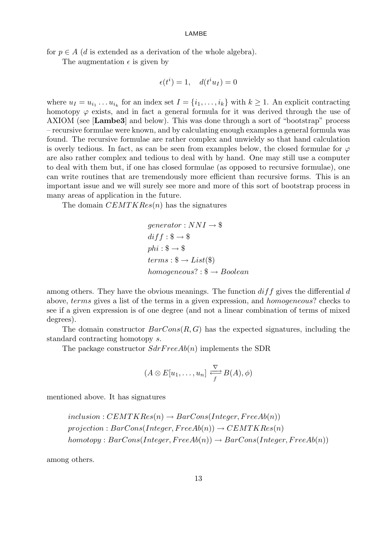for  $p \in A$  (d is extended as a derivation of the whole algebra).

The augmentation  $\epsilon$  is given by

$$
\epsilon(t^i) = 1, \quad d(t^i u_I) = 0
$$

where  $u_I = u_{i_1} \dots u_{i_k}$  for an index set  $I = \{i_1, \dots, i_k\}$  with  $k \geq 1$ . An explicit contracting homotopy  $\varphi$  exists, and in fact a general formula for it was derived through the use of AXIOM (see [Lambe3] and below). This was done through a sort of "bootstrap" process – recursive formulae were known, and by calculating enough examples a general formula was found. The recursive formulae are rather complex and unwieldy so that hand calculation is overly tedious. In fact, as can be seen from examples below, the closed formulae for  $\varphi$ are also rather complex and tedious to deal with by hand. One may still use a computer to deal with them but, if one has closed formulae (as opposed to recursive formulae), one can write routines that are tremendously more efficient than recursive forms. This is an important issue and we will surely see more and more of this sort of bootstrap process in many areas of application in the future.

The domain  $CEMTKRes(n)$  has the signatures

$$
generator: NNI \rightarrow \$
$$
  
diff: \\$ \rightarrow \\$  
phi: \\$ \rightarrow \\$  
terms: \\$ \rightarrow List(\\$)  
homogeneous? : \\$ \rightarrow Boolean

among others. They have the obvious meanings. The function  $diff$  gives the differential d above, terms gives a list of the terms in a given expression, and homogeneous? checks to see if a given expression is of one degree (and not a linear combination of terms of mixed degrees).

The domain constructor  $BarCons(R, G)$  has the expected signatures, including the standard contracting homotopy s.

The package constructor  $SdrFreeAb(n)$  implements the SDR

$$
(A \otimes E[u_1, \ldots, u_n] \xrightarrow{\nabla} B(A), \phi)
$$

mentioned above. It has signatures

$$
inclusion:CEMTKRes(n) \rightarrow BarCons(Integer, FreeAb(n))
$$
  
projection: BarCons(Integer, FreeAb(n)) \rightarrow CEMTKRes(n)  
homotopy: BarCons(Integer, FreeAb(n)) \rightarrow BarCons(Integer, FreeAb(n))

among others.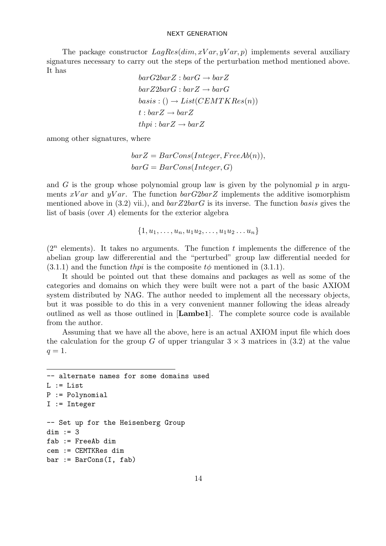The package constructor  $LagRes(dim, xVar, yVar, p)$  implements several auxiliary signatures necessary to carry out the steps of the perturbation method mentioned above. It has

 $barG2barZ : barG \rightarrow barZ$  $barZ2barG$ :  $barZ \rightarrow barG$  $basis: () \rightarrow List(CEMTKRes(n))$  $t : barZ \rightarrow barZ$  $thpi : barZ \rightarrow barZ$ 

among other signatures, where

 $bar Z = BarCons(Integer, FreeAb(n)),$  $barG = BarCons(Integer, G)$ 

and G is the group whose polynomial group law is given by the polynomial  $p$  in arguments  $xVar$  and  $yVar$ . The function  $barG2barZ$  implements the additive isomorphism mentioned above in (3.2) vii.), and  $barZ2barG$  is its inverse. The function basis gives the list of basis (over  $A$ ) elements for the exterior algebra

$$
\{1, u_1, \ldots, u_n, u_1 u_2, \ldots, u_1 u_2 \ldots u_n\}
$$

 $(2^n$  elements). It takes no arguments. The function t implements the difference of the abelian group law differerential and the "perturbed" group law differential needed for  $(3.1.1)$  and the function thpi is the composite to mentioned in  $(3.1.1)$ .

It should be pointed out that these domains and packages as well as some of the categories and domains on which they were built were not a part of the basic AXIOM system distributed by NAG. The author needed to implement all the necessary objects, but it was possible to do this in a very convenient manner following the ideas already outlined as well as those outlined in [Lambe1]. The complete source code is available from the author.

Assuming that we have all the above, here is an actual AXIOM input file which does the calculation for the group G of upper triangular  $3 \times 3$  matrices in (3.2) at the value  $q=1$ .

```
-- alternate names for some domains used
L := ListP := Polynomial
I := Integer
-- Set up for the Heisenberg Group
dim := 3
fab := FreeAb dim
cem := CEMTKRes dim
bar := BarCons(I, fab)
```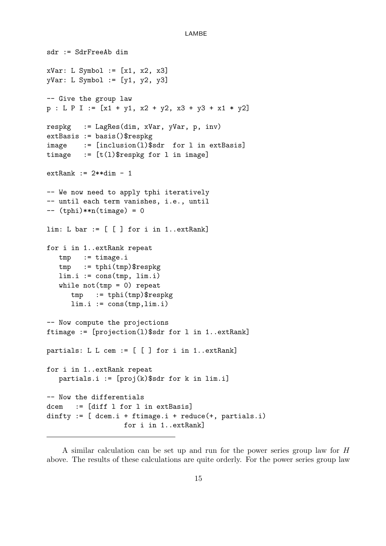```
sdr := SdrFreeAb dim
xVar: L \text{ Symbol} := [x1, x2, x3]yVar: L Symbol := [y1, y2, y3]
-- Give the group law
p : L P I := [x1 + y1, x2 + y2, x3 + y3 + x1 * y2]respkg := LagRes(dim, xVar, yVar, p, inv)
extBasis := basis()$respkg
image := [inclusion(l)$sdr for l in extBasis]
timage := [t(1)$respkg for 1 in image]
extRank := 2**dim - 1
-- We now need to apply tphi iteratively
-- until each term vanishes, i.e., until
-- (tphi)**n(timage) = 0
lim: L bar := [ [ ] for i in 1..extRank]
for i in 1..extRank repeat
   tmp := timage.i
   tmp := tphi(tmp)$respkg
   lim.i := const(tmp, lim.i)while not(tmp = 0) repeat
      tmp := tphi(tmp)$respkg
      \lim i := \text{cons}(\text{tmp},\lim i)-- Now compute the projections
ftimage := [projection(l)$sdr for l in 1..extRank]
partials: L L cem := [ [ ] for i in 1..extRank]
for i in 1..extRank repeat
   partials.i := [proj(k)$sdr for k in lim.i]
-- Now the differentials
dcem := [diff l for l in extBasis]
dinfty := [</math> <math>dcem.i + ftime, i + reduce(+, partials.i) ]</math>for i in 1..extRank]
```
A similar calculation can be set up and run for the power series group law for H above. The results of these calculations are quite orderly. For the power series group law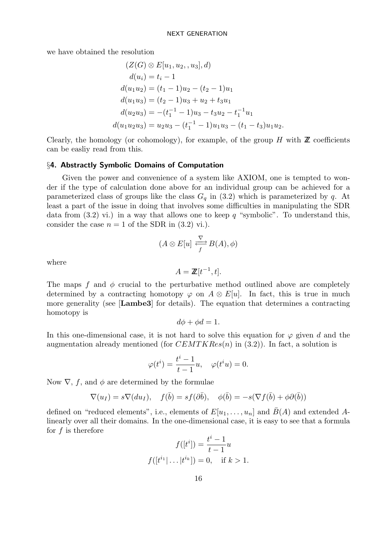we have obtained the resolution

$$
(Z(G) \otimes E[u_1, u_2, , u_3], d)
$$
  
\n
$$
d(u_i) = t_i - 1
$$
  
\n
$$
d(u_1u_2) = (t_1 - 1)u_2 - (t_2 - 1)u_1
$$
  
\n
$$
d(u_1u_3) = (t_2 - 1)u_3 + u_2 + t_3u_1
$$
  
\n
$$
d(u_2u_3) = -(t_1^{-1} - 1)u_3 - t_3u_2 - t_1^{-1}u_1
$$
  
\n
$$
d(u_1u_2u_3) = u_2u_3 - (t_1^{-1} - 1)u_1u_3 - (t_1 - t_3)u_1u_2.
$$

Clearly, the homology (or cohomology), for example, of the group  $H$  with  $\mathbb Z$  coefficients can be easliy read from this.

#### §4. Abstractly Symbolic Domains of Computation

Given the power and convenience of a system like AXIOM, one is tempted to wonder if the type of calculation done above for an individual group can be achieved for a parameterized class of groups like the class  $G_q$  in (3.2) which is parameterized by q. At least a part of the issue in doing that involves some difficulties in manipulating the SDR data from  $(3.2)$  vi.) in a way that allows one to keep q "symbolic". To understand this, consider the case  $n = 1$  of the SDR in (3.2) vi.).

$$
(A\otimes E[u]\stackrel{\nabla}{\underset{f}{\rightleftarrows}}B(A),\phi)
$$

where

$$
A = \mathbb{Z}[t^{-1}, t].
$$

The maps f and  $\phi$  crucial to the perturbative method outlined above are completely determined by a contracting homotopy  $\varphi$  on  $A \otimes E[u]$ . In fact, this is true in much more generality (see [Lambe3] for details). The equation that determines a contracting homotopy is

$$
d\phi + \phi d = 1.
$$

In this one-dimensional case, it is not hard to solve this equation for  $\varphi$  given d and the augmentation already mentioned (for  $CEMTKRes(n)$  in (3.2)). In fact, a solution is

$$
\varphi(t^i) = \frac{t^i - 1}{t - 1}u, \quad \varphi(t^i u) = 0.
$$

Now  $\nabla$ , f, and  $\phi$  are determined by the formulae

$$
\nabla(u_I) = s \nabla(du_I), \quad f(\bar{b}) = sf(\partial \bar{b}), \quad \phi(\bar{b}) = -s(\nabla f(\bar{b}) + \phi \partial(\bar{b}))
$$

defined on "reduced elements", i.e., elements of  $E[u_1, \ldots, u_n]$  and  $\bar{B}(A)$  and extended Alinearly over all their domains. In the one-dimensional case, it is easy to see that a formula for  $f$  is therefore

$$
f([ti]) = \frac{ti - 1}{t - 1}u
$$

$$
f([ti1 | ... |tik]) = 0, \text{ if } k > 1.
$$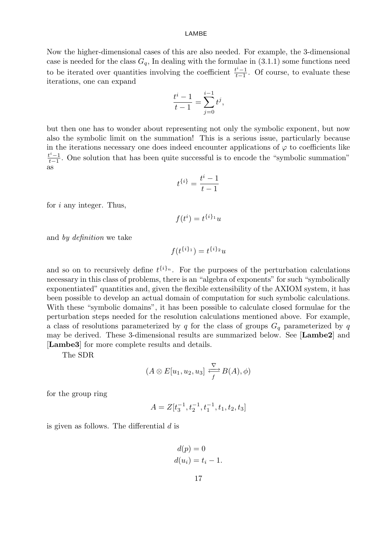Now the higher-dimensional cases of this are also needed. For example, the 3-dimensional case is needed for the class  $G_q$ , In dealing with the formulae in (3.1.1) some functions need to be iterated over quantities involving the coefficient  $\frac{t^{i}-1}{t-1}$  $\frac{t^2-1}{t-1}$ . Of course, to evaluate these iterations, one can expand

$$
\frac{t^{i}-1}{t-1} = \sum_{j=0}^{i-1} t^{j},
$$

but then one has to wonder about representing not only the symbolic exponent, but now also the symbolic limit on the summation! This is a serious issue, particularly because in the iterations necessary one does indeed encounter applications of  $\varphi$  to coefficients like  $t^i-1$  $t_{t-1}^{t-1}$ . One solution that has been quite successful is to encode the "symbolic summation" as

$$
t^{\{i\}} = \frac{t^i - 1}{t - 1}
$$

for  $i$  any integer. Thus,

 $f(t^i) = t^{\{i\}_1}u$ 

and by definition we take

$$
f(t^{\{i\}_1}) = t^{\{i\}_2}u
$$

and so on to recursively define  $t^{\{i\}_n}$ . For the purposes of the perturbation calculations necessary in this class of problems, there is an "algebra of exponents" for such "symbolically exponentiated" quantities and, given the flexible extensibility of the AXIOM system, it has been possible to develop an actual domain of computation for such symbolic calculations. With these "symbolic domains", it has been possible to calculate closed formulae for the perturbation steps needed for the resolution calculations mentioned above. For example, a class of resolutions parameterized by q for the class of groups  $G<sub>q</sub>$  parameterized by q may be derived. These 3-dimensional results are summarized below. See [Lambe2] and [Lambe3] for more complete results and details.

The SDR

$$
(A \otimes E[u_1, u_2, u_3] \xrightarrow{ \nabla \ } B(A), \phi)
$$

for the group ring

$$
A = Z[t_3^{-1}, t_2^{-1}, t_1^{-1}, t_1, t_2, t_3]
$$

is given as follows. The differential  $d$  is

$$
d(p) = 0
$$
  

$$
d(u_i) = t_i - 1.
$$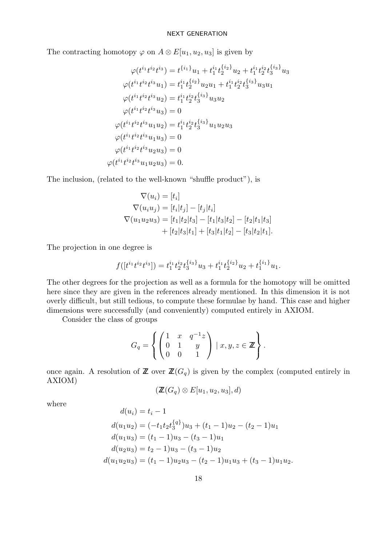The contracting homotopy  $\varphi$  on  $A \otimes E[u_1, u_2, u_3]$  is given by

$$
\varphi(t^{i_1}t^{i_2}t^{i_3}) = t^{\{i_1\}}u_1 + t_1^{i_1}t_2^{\{i_2\}}u_2 + t_1^{i_1}t_2^{i_2}t_3^{\{i_3\}}u_3
$$
  

$$
\varphi(t^{i_1}t^{i_2}t^{i_3}u_1) = t_1^{i_1}t_2^{\{i_2\}}u_2u_1 + t_1^{i_1}t_2^{i_2}t_3^{\{i_3\}}u_3u_1
$$
  

$$
\varphi(t^{i_1}t^{i_2}t^{i_3}u_2) = t_1^{i_1}t_2^{i_2}t_3^{\{i_3\}}u_3u_2
$$
  

$$
\varphi(t^{i_1}t^{i_2}t^{i_3}u_3) = 0
$$
  

$$
\varphi(t^{i_1}t^{i_2}t^{i_3}u_1u_2) = t_1^{i_1}t_2^{i_2}t_3^{\{i_3\}}u_1u_2u_3
$$
  

$$
\varphi(t^{i_1}t^{i_2}t^{i_3}u_1u_3) = 0
$$
  

$$
\varphi(t^{i_1}t^{i_2}t^{i_3}u_2u_3) = 0
$$
  

$$
\varphi(t^{i_1}t^{i_2}t^{i_3}u_1u_2u_3) = 0.
$$

The inclusion, (related to the well-known "shuffle product"), is

$$
\nabla(u_i) = [t_i]
$$
  
\n
$$
\nabla(u_i u_j) = [t_i|t_j] - [t_j|t_i]
$$
  
\n
$$
\nabla(u_1 u_2 u_3) = [t_1|t_2|t_3] - [t_1|t_3|t_2] - [t_2|t_1|t_3]
$$
  
\n
$$
+ [t_2|t_3|t_1] + [t_3|t_1|t_2] - [t_3|t_2|t_1].
$$

The projection in one degree is

$$
f([t^{i_1}t^{i_2}t^{i_3}]) = t_1^{i_1}t_2^{i_2}t_3^{\{i_3\}}u_3 + t_1^{i_1}t_2^{\{i_2\}}u_2 + t_1^{\{i_1\}}u_1.
$$

The other degrees for the projection as well as a formula for the homotopy will be omitted here since they are given in the references already mentioned. In this dimension it is not overly difficult, but still tedious, to compute these formulae by hand. This case and higher dimensions were successfully (and conveniently) computed entirely in AXIOM.

Consider the class of groups

$$
G_q = \left\{ \begin{pmatrix} 1 & x & q^{-1}z \\ 0 & 1 & y \\ 0 & 0 & 1 \end{pmatrix} \mid x, y, z \in \mathbb{Z} \right\}.
$$

once again. A resolution of  $\mathbb{Z}$  over  $\mathbb{Z}(G_q)$  is given by the complex (computed entirely in AXIOM)

$$
(\mathbb{Z}(G_q) \otimes E[u_1, u_2, u_3], d)
$$

where

$$
d(u_i) = t_i - 1
$$
  
\n
$$
d(u_1u_2) = (-t_1t_2t_3^{\{q\}})u_3 + (t_1 - 1)u_2 - (t_2 - 1)u_1
$$
  
\n
$$
d(u_1u_3) = (t_1 - 1)u_3 - (t_3 - 1)u_1
$$
  
\n
$$
d(u_2u_3) = t_2 - 1)u_3 - (t_3 - 1)u_2
$$
  
\n
$$
d(u_1u_2u_3) = (t_1 - 1)u_2u_3 - (t_2 - 1)u_1u_3 + (t_3 - 1)u_1u_2
$$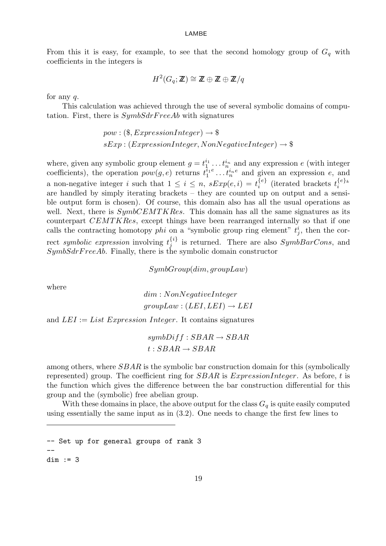From this it is easy, for example, to see that the second homology group of  $G_q$  with coefficients in the integers is

$$
H^2(G_q; \mathbb{Z}) \cong \mathbb{Z} \oplus \mathbb{Z} \oplus \mathbb{Z}/q
$$

for any  $q$ .

This calculation was achieved through the use of several symbolic domains of computation. First, there is  $SymbSdrFreeAb$  with signatures

> $pow: (\text{\textsterling}. ExpressionInteger) \rightarrow \text{\textsterling}$  $sExp: (ExpressionInteger, NonNegativeInteger) \rightarrow$

where, given any symbolic group element  $g = t_1^{i_1} \dots t_n^{i_n}$  and any expression e (with integer coefficients), the operation  $pow(g, e)$  returns  $t_1^{i_1e} \dots t_n^{i_ne}$  and given an expression e, and a non-negative integer i such that  $1 \leq i \leq n$ ,  $sExp(e, i) = t_i^{\{e\}}$  $\{\overline{\{e\}}\}$  (iterated brackets  $t_i^{\{e\}_k}$ i are handled by simply iterating brackets – they are counted up on output and a sensible output form is chosen). Of course, this domain also has all the usual operations as well. Next, there is  $SymbCEMTKRes$ . This domain has all the same signatures as its counterpart CEMTKRes, except things have been rearranged internally so that if one calls the contracting homotopy *phi* on a "symbolic group ring element"  $t_j^i$ , then the correct symbolic expression involving  $t_i^{\{i\}}$  $j^{ij}$  is returned. There are also  $SymbBarCons$ , and  $Symboler FreeAb.$  Finally, there is the symbolic domain constructor

SymbGroup(dim, groupLaw)

where

dim : NonNegativeInteger  $groupLaw : (LEI, LEI) \rightarrow LEI$ 

and  $LEI := List Expression Integer$ . It contains signatures

 $symbDiff:SBAR \rightarrow SBAR$  $t: SBAR \rightarrow SBAR$ 

among others, where  $SBAR$  is the symbolic bar construction domain for this (symbolically represented) group. The coefficient ring for  $SBAR$  is ExpressionInteger. As before, t is the function which gives the difference between the bar construction differential for this group and the (symbolic) free abelian group.

With these domains in place, the above output for the class  $G_q$  is quite easily computed using essentially the same input as in (3.2). One needs to change the first few lines to

-- Set up for general groups of rank 3 - dim := 3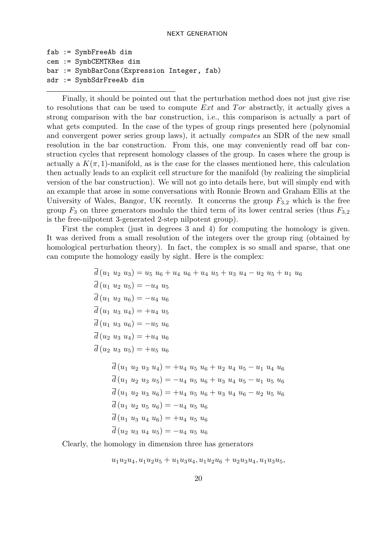```
fab := SymbFreeAb dim
cem := SymbCEMTKRes dim
bar := SymbBarCons(Expression Integer, fab)
sdr := SymbSdrFreeAb dim
```
Finally, it should be pointed out that the perturbation method does not just give rise to resolutions that can be used to compute  $Ext$  and  $Tor$  abstractly, it actually gives a strong comparison with the bar construction, i.e., this comparison is actually a part of what gets computed. In the case of the types of group rings presented here (polynomial and convergent power series group laws), it actually computes an SDR of the new small resolution in the bar construction. From this, one may conveniently read off bar construction cycles that represent homology classes of the group. In cases where the group is actually a  $K(\pi, 1)$ -manifold, as is the case for the classes mentioned here, this calculation then actually leads to an explicit cell structure for the manifold (by realizing the simplicial version of the bar construction). We will not go into details here, but will simply end with an example that arose in some conversations with Ronnie Brown and Graham Ellis at the University of Wales, Bangor, UK recently. It concerns the group  $F_{3,2}$  which is the free group  $F_3$  on three generators modulo the third term of its lower central series (thus  $F_{3,2}$ ) is the free-nilpotent 3-generated 2-step nilpotent group).

First the complex (just in degrees 3 and 4) for computing the homology is given. It was derived from a small resolution of the integers over the group ring (obtained by homological perturbation theory). In fact, the complex is so small and sparse, that one can compute the homology easily by sight. Here is the complex:

> $\overline{d}(u_1 \ u_2 \ u_3) = u_5 \ u_6 + u_4 \ u_6 + u_4 \ u_5 + u_3 \ u_4 - u_2 \ u_5 + u_1 \ u_6$  $\overline{d}(u_1 \ u_2 \ u_5) = -u_4 \ u_5$  $\overline{d}(u_1 \ u_2 \ u_6) = -u_4 \ u_6$  $\overline{d}(u_1 \ u_3 \ u_4) = +u_4 \ u_5$  $\overline{d}(u_1\ u_3\ u_6) = -u_5\ u_6$  $\overline{d}(u_2 u_3 u_4) = +u_4 u_6$  $\overline{d}(u_2 u_3 u_5) = +u_5 u_6$  $\overline{d}(u_1 \ u_2 \ u_3 \ u_4) = +u_4 \ u_5 \ u_6 + u_2 \ u_4 \ u_5 - u_1 \ u_4 \ u_6$  $\overline{d}(u_1 \ u_2 \ u_3 \ u_5) = -u_4 \ u_5 \ u_6 + u_3 \ u_4 \ u_5 - u_1 \ u_5 \ u_6$  $\overline{d}(u_1 \ u_2 \ u_3 \ u_6) = +u_4 \ u_5 \ u_6 + u_3 \ u_4 \ u_6 - u_2 \ u_5 \ u_6$  $\overline{d}(u_1\ u_2\ u_5\ u_6) = -u_4\ u_5\ u_6$  $\overline{d}(u_1, u_2, u_4, u_6) = +u_4, u_5, u_6$

$$
a (a_1 \ a_3 \ a_4 \ a_6) = +a_4 \ a_5 \ a_6
$$

$$
\overline{d}(u_2 \ u_3 \ u_4 \ u_5) = -u_4 \ u_5 \ u_6
$$

Clearly, the homology in dimension three has generators

 $u_1u_2u_4, u_1u_2u_5 + u_1u_3u_4, u_1u_2u_6 + u_2u_3u_4, u_1u_3u_5$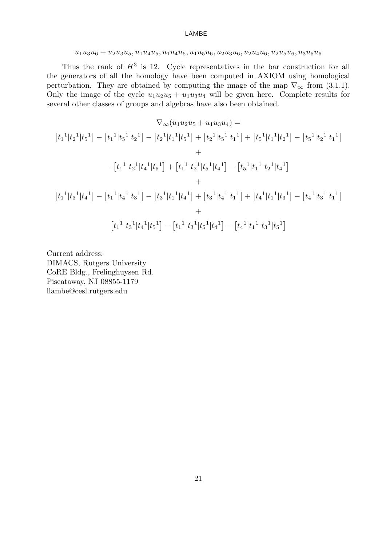### $u_1u_3u_6+u_2u_3u_5, u_1u_4u_5, u_1u_4u_6, u_1u_5u_6, u_2u_3u_6, u_2u_4u_6, u_2u_5u_6, u_3u_5u_6$

Thus the rank of  $H^3$  is 12. Cycle representatives in the bar construction for all the generators of all the homology have been computed in AXIOM using homological perturbation. They are obtained by computing the image of the map  $\nabla_{\infty}$  from (3.1.1). Only the image of the cycle  $u_1u_2u_5 + u_1u_3u_4$  will be given here. Complete results for several other classes of groups and algebras have also been obtained.

$$
\nabla_{\infty}(u_1u_2u_5 + u_1u_3u_4) =
$$
\n
$$
\begin{aligned}\n[t_1^{-1}|t_2^{-1}|t_5^{-1}|t_2^{-1}] - [t_2^{-1}|t_1^{-1}|t_5^{-1}] + [t_2^{-1}|t_5^{-1}|t_1^{-1}] + [t_5^{-1}|t_1^{-1}|t_2^{-1}] - [t_5^{-1}|t_2^{-1}|t_1^{-1}] \\
&+ \\
-[t_1^{-1}|t_2^{-1}|t_4^{-1}|t_5^{-1}] + [t_1^{-1}|t_2^{-1}|t_5^{-1}|t_4^{-1}] - [t_5^{-1}|t_1^{-1}|t_2^{-1}|t_4^{-1}] \\
&+ \\
[t_1^{-1}|t_3^{-1}|t_4^{-1}] - [t_1^{-1}|t_4^{-1}|t_3^{-1}] - [t_3^{-1}|t_1^{-1}|t_4^{-1}] + [t_3^{-1}|t_4^{-1}|t_1^{-1}] + [t_4^{-1}|t_1^{-1}|t_3^{-1}] - [t_4^{-1}|t_3^{-1}|t_1^{-1}] \\
&+ \\
[t_1^{-1}|t_3^{-1}|t_4^{-1}|t_5^{-1}] - [t_1^{-1}|t_3^{-1}|t_5^{-1}|t_4^{-1}] - [t_4^{-1}|t_1^{-1}|t_3^{-1}|t_5^{-1}]\n\end{aligned}
$$

Current address: DIMACS, Rutgers University CoRE Bldg., Frelinghuysen Rd. Piscataway, NJ 08855-1179 llambe@cesl.rutgers.edu